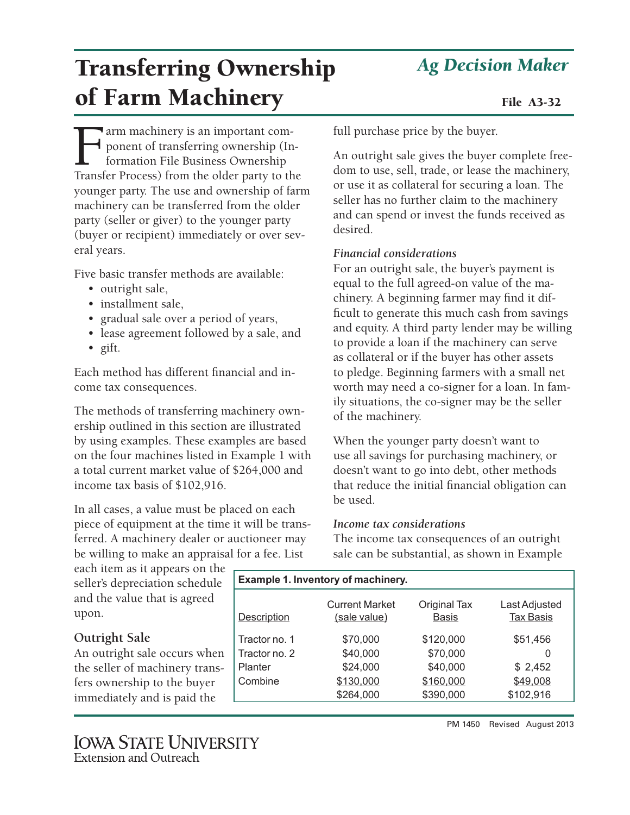# *Ag Decision Maker*

# Transferring Ownership of Farm Machinery File A3-32

Farm machinery is an important com-<br>ponent of transferring ownership (In<br>formation File Business Ownership<br>Transfer Process) from the older party to the ponent of transferring ownership (Information File Business Ownership Transfer Process) from the older party to the younger party. The use and ownership of farm machinery can be transferred from the older party (seller or giver) to the younger party (buyer or recipient) immediately or over several years.

Five basic transfer methods are available:

- outright sale,
- installment sale,
- gradual sale over a period of years,
- lease agreement followed by a sale, and
- gift.

Each method has different financial and income tax consequences.

The methods of transferring machinery ownership outlined in this section are illustrated by using examples. These examples are based on the four machines listed in Example 1 with a total current market value of \$264,000 and income tax basis of \$102,916.

In all cases, a value must be placed on each piece of equipment at the time it will be transferred. A machinery dealer or auctioneer may be willing to make an appraisal for a fee. List

each item as it appears on the seller's depreciation schedule and the value that is agreed upon.

# **Outright Sale**

An outright sale occurs when the seller of machinery transfers ownership to the buyer immediately and is paid the

full purchase price by the buyer.

An outright sale gives the buyer complete freedom to use, sell, trade, or lease the machinery, or use it as collateral for securing a loan. The seller has no further claim to the machinery and can spend or invest the funds received as desired.

# *Financial considerations*

For an outright sale, the buyer's payment is equal to the full agreed-on value of the machinery. A beginning farmer may find it difficult to generate this much cash from savings and equity. A third party lender may be willing to provide a loan if the machinery can serve as collateral or if the buyer has other assets to pledge. Beginning farmers with a small net worth may need a co-signer for a loan. In family situations, the co-signer may be the seller of the machinery.

When the younger party doesn't want to use all savings for purchasing machinery, or doesn't want to go into debt, other methods that reduce the initial financial obligation can be used.

# *Income tax considerations*

The income tax consequences of an outright sale can be substantial, as shown in Example

| Example 1. Inventory of machinery. |                                       |                                     |                                   |  |
|------------------------------------|---------------------------------------|-------------------------------------|-----------------------------------|--|
| <b>Description</b>                 | <b>Current Market</b><br>(sale value) | <b>Original Tax</b><br><b>Basis</b> | Last Adjusted<br><b>Tax Basis</b> |  |
| Tractor no. 1                      | \$70,000                              | \$120,000                           | \$51,456                          |  |
| Tractor no. 2                      | \$40,000                              | \$70,000                            | 0                                 |  |
| Planter                            | \$24,000                              | \$40,000                            | \$2,452                           |  |
| Combine                            | \$130,000                             | \$160,000                           | \$49,008                          |  |
|                                    | \$264,000                             | \$390,000                           | \$102,916                         |  |
|                                    |                                       |                                     |                                   |  |

PM 1450 Revised August 2013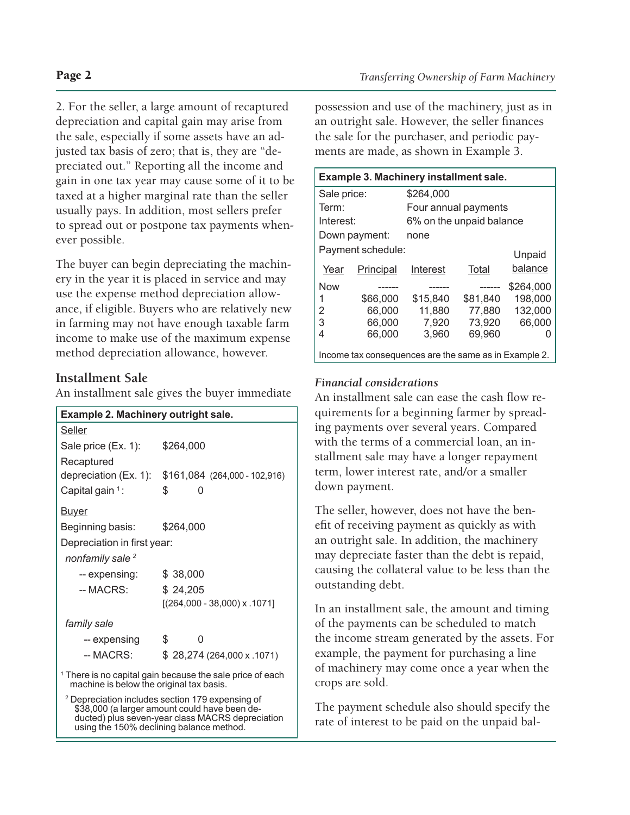2. For the seller, a large amount of recaptured depreciation and capital gain may arise from the sale, especially if some assets have an adjusted tax basis of zero; that is, they are "depreciated out." Reporting all the income and gain in one tax year may cause some of it to be taxed at a higher marginal rate than the seller usually pays. In addition, most sellers prefer to spread out or postpone tax payments whenever possible.

The buyer can begin depreciating the machinery in the year it is placed in service and may use the expense method depreciation allowance, if eligible. Buyers who are relatively new in farming may not have enough taxable farm income to make use of the maximum expense method depreciation allowance, however.

# **Installment Sale**

An installment sale gives the buyer immediate

| Example 2. Machinery outright sale.                                                                              |                                                                                                                                                                                                              |  |  |  |
|------------------------------------------------------------------------------------------------------------------|--------------------------------------------------------------------------------------------------------------------------------------------------------------------------------------------------------------|--|--|--|
| Seller                                                                                                           |                                                                                                                                                                                                              |  |  |  |
| Sale price (Ex. 1):                                                                                              | \$264,000                                                                                                                                                                                                    |  |  |  |
| Recaptured                                                                                                       |                                                                                                                                                                                                              |  |  |  |
|                                                                                                                  | depreciation (Ex. 1): \$161,084 (264,000 - 102,916)                                                                                                                                                          |  |  |  |
| Capital gain $1$ :                                                                                               | \$<br>O                                                                                                                                                                                                      |  |  |  |
| <b>Buyer</b>                                                                                                     |                                                                                                                                                                                                              |  |  |  |
| Beginning basis:                                                                                                 | \$264,000                                                                                                                                                                                                    |  |  |  |
| Depreciation in first year:                                                                                      |                                                                                                                                                                                                              |  |  |  |
| nonfamily sale <sup>2</sup>                                                                                      |                                                                                                                                                                                                              |  |  |  |
| -- expensing:                                                                                                    | \$38,000                                                                                                                                                                                                     |  |  |  |
| -- MACRS:                                                                                                        | \$24,205                                                                                                                                                                                                     |  |  |  |
|                                                                                                                  | $[(264,000 - 38,000)$ x .1071]                                                                                                                                                                               |  |  |  |
| family sale                                                                                                      |                                                                                                                                                                                                              |  |  |  |
| -- expensing                                                                                                     | \$<br>0                                                                                                                                                                                                      |  |  |  |
| -- MACRS:                                                                                                        | \$28,274 (264,000 x .1071)                                                                                                                                                                                   |  |  |  |
| <sup>1</sup> There is no capital gain because the sale price of each<br>machine is below the original tax basis. |                                                                                                                                                                                                              |  |  |  |
|                                                                                                                  | <sup>2</sup> Depreciation includes section 179 expensing of<br>\$38,000 (a larger amount could have been de-<br>ducted) plus seven-year class MACRS depreciation<br>using the 150% declining balance method. |  |  |  |

possession and use of the machinery, just as in an outright sale. However, the seller finances the sale for the purchaser, and periodic payments are made, as shown in Example 3.

| Example 3. Machinery installment sale.                |                   |                          |          |           |  |
|-------------------------------------------------------|-------------------|--------------------------|----------|-----------|--|
| Sale price:                                           |                   | \$264,000                |          |           |  |
| Term:                                                 |                   | Four annual payments     |          |           |  |
| Interest:                                             |                   | 6% on the unpaid balance |          |           |  |
| Down payment:                                         |                   | none                     |          |           |  |
|                                                       | Payment schedule: |                          |          | Unpaid    |  |
| Year                                                  | Principal         | Interest                 | Total    | balance   |  |
| <b>Now</b>                                            |                   |                          |          | \$264,000 |  |
| 1                                                     | \$66,000          | \$15,840                 | \$81,840 | 198,000   |  |
| 2                                                     | 66,000            | 11,880                   | 77.880   | 132,000   |  |
| 3                                                     | 66,000            | 7,920                    | 73.920   | 66,000    |  |
| 4                                                     | 66,000            | 3.960                    | 69,960   |           |  |
| Income tax consequences are the same as in Example 2. |                   |                          |          |           |  |

# *Financial considerations*

An installment sale can ease the cash flow requirements for a beginning farmer by spreading payments over several years. Compared with the terms of a commercial loan, an installment sale may have a longer repayment term, lower interest rate, and/or a smaller down payment.

The seller, however, does not have the benefit of receiving payment as quickly as with an outright sale. In addition, the machinery may depreciate faster than the debt is repaid, causing the collateral value to be less than the outstanding debt.

In an installment sale, the amount and timing of the payments can be scheduled to match the income stream generated by the assets. For example, the payment for purchasing a line of machinery may come once a year when the crops are sold.

The payment schedule also should specify the rate of interest to be paid on the unpaid bal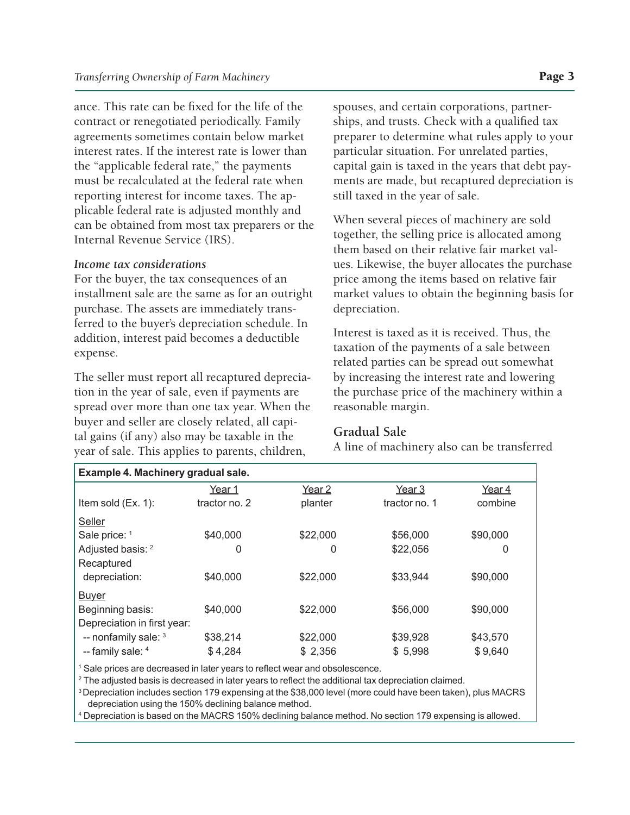ance. This rate can be fixed for the life of the contract or renegotiated periodically. Family agreements sometimes contain below market interest rates. If the interest rate is lower than the "applicable federal rate," the payments must be recalculated at the federal rate when reporting interest for income taxes. The applicable federal rate is adjusted monthly and can be obtained from most tax preparers or the Internal Revenue Service (IRS).

#### *Income tax considerations*

For the buyer, the tax consequences of an installment sale are the same as for an outright purchase. The assets are immediately transferred to the buyer's depreciation schedule. In addition, interest paid becomes a deductible expense.

The seller must report all recaptured depreciation in the year of sale, even if payments are spread over more than one tax year. When the buyer and seller are closely related, all capital gains (if any) also may be taxable in the year of sale. This applies to parents, children,

spouses, and certain corporations, partnerships, and trusts. Check with a qualified tax preparer to determine what rules apply to your particular situation. For unrelated parties, capital gain is taxed in the years that debt payments are made, but recaptured depreciation is still taxed in the year of sale.

When several pieces of machinery are sold together, the selling price is allocated among them based on their relative fair market values. Likewise, the buyer allocates the purchase price among the items based on relative fair market values to obtain the beginning basis for depreciation.

Interest is taxed as it is received. Thus, the taxation of the payments of a sale between related parties can be spread out somewhat by increasing the interest rate and lowering the purchase price of the machinery within a reasonable margin.

#### **Gradual Sale**

A line of machinery also can be transferred

| Example 4. Machinery gradual sale. |               |                   |               |          |  |
|------------------------------------|---------------|-------------------|---------------|----------|--|
|                                    | Year 1        | Year <sub>2</sub> | Year 3        | Year 4   |  |
| Item sold (Ex. 1):                 | tractor no. 2 | planter           | tractor no. 1 | combine  |  |
| <b>Seller</b>                      |               |                   |               |          |  |
| Sale price: 1                      | \$40,000      | \$22,000          | \$56,000      | \$90,000 |  |
| Adjusted basis: <sup>2</sup>       | 0             | 0                 | \$22,056      | 0        |  |
| Recaptured                         |               |                   |               |          |  |
| depreciation:                      | \$40,000      | \$22,000          | \$33,944      | \$90,000 |  |
| <b>Buyer</b>                       |               |                   |               |          |  |
| Beginning basis:                   | \$40,000      | \$22,000          | \$56,000      | \$90,000 |  |
| Depreciation in first year:        |               |                   |               |          |  |
| -- nonfamily sale: 3               | \$38,214      | \$22,000          | \$39,928      | \$43,570 |  |
| -- family sale: 4                  | \$4,284       | \$2,356           | \$5,998       | \$9,640  |  |

<sup>1</sup> Sale prices are decreased in later years to reflect wear and obsolescence.

 $^{\rm 2}$  The adjusted basis is decreased in later years to reflect the additional tax depreciation claimed.

3 Depreciation includes section 179 expensing at the \$38,000 level (more could have been taken), plus MACRS depreciation using the 150% declining balance method.

4 Depreciation is based on the MACRS 150% declining balance method. No section 179 expensing is allowed.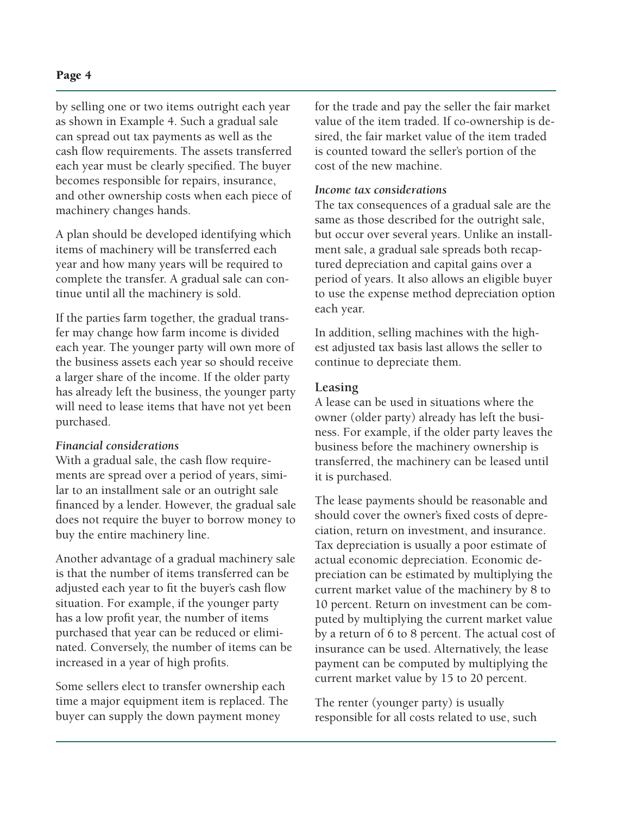by selling one or two items outright each year as shown in Example 4. Such a gradual sale can spread out tax payments as well as the cash flow requirements. The assets transferred each year must be clearly specified. The buyer becomes responsible for repairs, insurance, and other ownership costs when each piece of machinery changes hands.

A plan should be developed identifying which items of machinery will be transferred each year and how many years will be required to complete the transfer. A gradual sale can continue until all the machinery is sold.

If the parties farm together, the gradual transfer may change how farm income is divided each year. The younger party will own more of the business assets each year so should receive a larger share of the income. If the older party has already left the business, the younger party will need to lease items that have not yet been purchased.

#### *Financial considerations*

With a gradual sale, the cash flow requirements are spread over a period of years, similar to an installment sale or an outright sale financed by a lender. However, the gradual sale does not require the buyer to borrow money to buy the entire machinery line.

Another advantage of a gradual machinery sale is that the number of items transferred can be adjusted each year to fit the buyer's cash flow situation. For example, if the younger party has a low profit year, the number of items purchased that year can be reduced or eliminated. Conversely, the number of items can be increased in a year of high profits.

Some sellers elect to transfer ownership each time a major equipment item is replaced. The buyer can supply the down payment money

for the trade and pay the seller the fair market value of the item traded. If co-ownership is desired, the fair market value of the item traded is counted toward the seller's portion of the cost of the new machine.

#### *Income tax considerations*

The tax consequences of a gradual sale are the same as those described for the outright sale, but occur over several years. Unlike an installment sale, a gradual sale spreads both recaptured depreciation and capital gains over a period of years. It also allows an eligible buyer to use the expense method depreciation option each year.

In addition, selling machines with the highest adjusted tax basis last allows the seller to continue to depreciate them.

## **Leasing**

A lease can be used in situations where the owner (older party) already has left the business. For example, if the older party leaves the business before the machinery ownership is transferred, the machinery can be leased until it is purchased.

The lease payments should be reasonable and should cover the owner's fixed costs of depreciation, return on investment, and insurance. Tax depreciation is usually a poor estimate of actual economic depreciation. Economic depreciation can be estimated by multiplying the current market value of the machinery by 8 to 10 percent. Return on investment can be computed by multiplying the current market value by a return of 6 to 8 percent. The actual cost of insurance can be used. Alternatively, the lease payment can be computed by multiplying the current market value by 15 to 20 percent.

The renter (younger party) is usually responsible for all costs related to use, such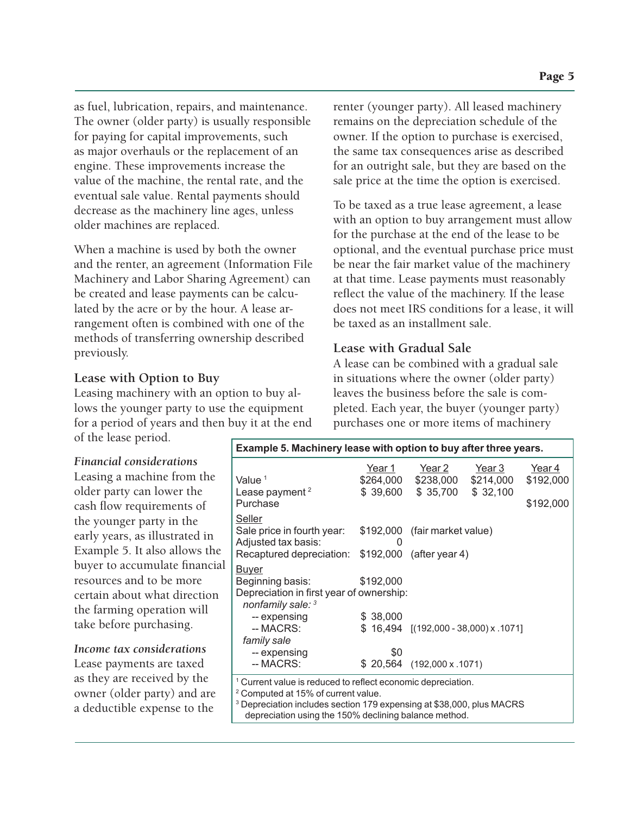as fuel, lubrication, repairs, and maintenance. The owner (older party) is usually responsible for paying for capital improvements, such as major overhauls or the replacement of an engine. These improvements increase the value of the machine, the rental rate, and the eventual sale value. Rental payments should decrease as the machinery line ages, unless older machines are replaced.

When a machine is used by both the owner and the renter, an agreement (Information File Machinery and Labor Sharing Agreement) can be created and lease payments can be calculated by the acre or by the hour. A lease arrangement often is combined with one of the methods of transferring ownership described previously.

## **Lease with Option to Buy**

Leasing machinery with an option to buy allows the younger party to use the equipment for a period of years and then buy it at the end of the lease period.

*Financial considerations*

Leasing a machine from the older party can lower the cash flow requirements of the younger party in the early years, as illustrated in Example 5. It also allows the buyer to accumulate financial resources and to be more certain about what direction the farming operation will take before purchasing.

*Income tax considerations* Lease payments are taxed as they are received by the owner (older party) and are a deductible expense to the

renter (younger party). All leased machinery remains on the depreciation schedule of the owner. If the option to purchase is exercised, the same tax consequences arise as described for an outright sale, but they are based on the sale price at the time the option is exercised.

To be taxed as a true lease agreement, a lease with an option to buy arrangement must allow for the purchase at the end of the lease to be optional, and the eventual purchase price must be near the fair market value of the machinery at that time. Lease payments must reasonably reflect the value of the machinery. If the lease does not meet IRS conditions for a lease, it will be taxed as an installment sale.

# **Lease with Gradual Sale**

A lease can be combined with a gradual sale in situations where the owner (older party) leaves the business before the sale is completed. Each year, the buyer (younger party) purchases one or more items of machinery

| Example 5. Machinery lease with option to buy after three years.                 |           |                                               |        |           |
|----------------------------------------------------------------------------------|-----------|-----------------------------------------------|--------|-----------|
|                                                                                  | Year 1    | Year 2                                        | Year 3 | Year 4    |
| Value $1$                                                                        |           | \$264,000 \$238,000 \$214,000                 |        | \$192,000 |
| Lease payment <sup>2</sup>                                                       |           | \$39,600 \$35,700 \$32,100                    |        |           |
| Purchase                                                                         |           |                                               |        | \$192,000 |
| <b>Seller</b>                                                                    |           |                                               |        |           |
| Sale price in fourth year:                                                       |           | \$192,000 (fair market value)                 |        |           |
| Adjusted tax basis:                                                              | 0         |                                               |        |           |
| Recaptured depreciation: \$192,000 (after year 4)                                |           |                                               |        |           |
| <u>Buyer</u>                                                                     |           |                                               |        |           |
| Beginning basis:                                                                 | \$192,000 |                                               |        |           |
| Depreciation in first year of ownership:<br>nonfamily sale: 3                    |           |                                               |        |           |
| -- expensing                                                                     | \$38,000  |                                               |        |           |
| -- MACRS:                                                                        |           | $$16,494$ $[(192,000 - 38,000) \times .1071]$ |        |           |
| family sale                                                                      |           |                                               |        |           |
| -- expensing                                                                     | \$0       |                                               |        |           |
| -- MACRS:                                                                        |           | \$20,564 (192,000 x .1071)                    |        |           |
| <sup>1</sup> Current value is reduced to reflect economic depreciation.          |           |                                               |        |           |
| <sup>2</sup> Computed at 15% of current value.                                   |           |                                               |        |           |
| <sup>3</sup> Depreciation includes section 179 expensing at \$38,000, plus MACRS |           |                                               |        |           |
| depreciation using the 150% declining balance method.                            |           |                                               |        |           |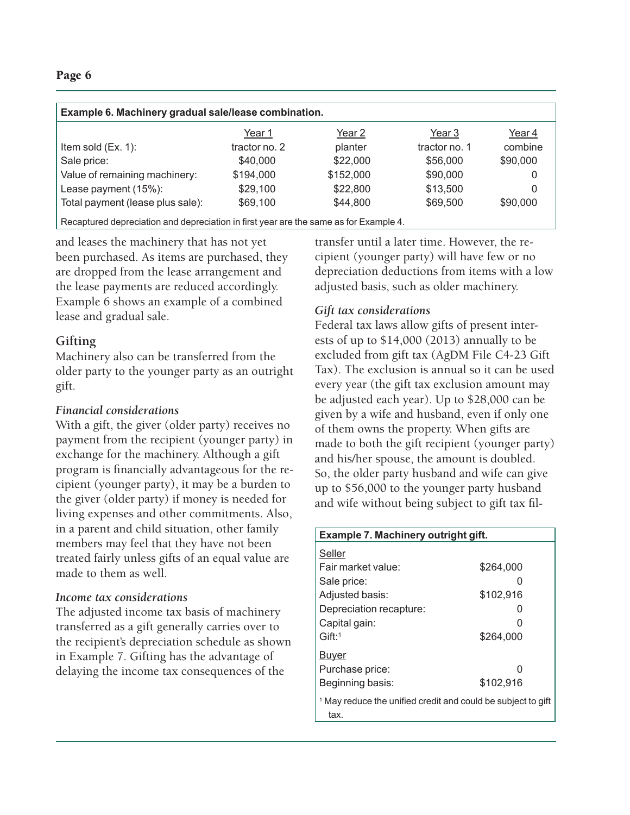#### Page 6

| Example 6. Machinery gradual sale/lease combination.                                  |               |           |               |          |  |
|---------------------------------------------------------------------------------------|---------------|-----------|---------------|----------|--|
|                                                                                       | Year 1        | Year 2    | Year 3        | Year 4   |  |
| Item sold (Ex. 1):                                                                    | tractor no. 2 | planter   | tractor no. 1 | combine  |  |
| Sale price:                                                                           | \$40,000      | \$22,000  | \$56,000      | \$90,000 |  |
| Value of remaining machinery:                                                         | \$194,000     | \$152,000 | \$90,000      | 0        |  |
| Lease payment (15%):                                                                  | \$29,100      | \$22,800  | \$13,500      | 0        |  |
| Total payment (lease plus sale):                                                      | \$69,100      | \$44,800  | \$69,500      | \$90,000 |  |
| Recaptured depreciation and depreciation in first year are the same as for Example 4. |               |           |               |          |  |

and leases the machinery that has not yet been purchased. As items are purchased, they are dropped from the lease arrangement and the lease payments are reduced accordingly. Example 6 shows an example of a combined lease and gradual sale.

# **Gifting**

Machinery also can be transferred from the older party to the younger party as an outright gift.

# *Financial considerations*

With a gift, the giver (older party) receives no payment from the recipient (younger party) in exchange for the machinery. Although a gift program is financially advantageous for the recipient (younger party), it may be a burden to the giver (older party) if money is needed for living expenses and other commitments. Also, in a parent and child situation, other family members may feel that they have not been treated fairly unless gifts of an equal value are made to them as well.

# *Income tax considerations*

The adjusted income tax basis of machinery transferred as a gift generally carries over to the recipient's depreciation schedule as shown in Example 7. Gifting has the advantage of delaying the income tax consequences of the

transfer until a later time. However, the recipient (younger party) will have few or no depreciation deductions from items with a low adjusted basis, such as older machinery.

# *Gift tax considerations*

Federal tax laws allow gifts of present interests of up to \$14,000 (2013) annually to be excluded from gift tax (AgDM File C4-23 Gift Tax). The exclusion is annual so it can be used every year (the gift tax exclusion amount may be adjusted each year). Up to \$28,000 can be given by a wife and husband, even if only one of them owns the property. When gifts are made to both the gift recipient (younger party) and his/her spouse, the amount is doubled. So, the older party husband and wife can give up to \$56,000 to the younger party husband and wife without being subject to gift tax fil-

| Example 7. Machinery outright gift.                                             |           |  |
|---------------------------------------------------------------------------------|-----------|--|
| Seller                                                                          |           |  |
| Fair market value:                                                              | \$264,000 |  |
| Sale price:                                                                     | 0         |  |
| Adjusted basis:                                                                 | \$102,916 |  |
| Depreciation recapture:                                                         | 0         |  |
| Capital gain:                                                                   | O         |  |
| $G$ ift: <sup>1</sup>                                                           | \$264.000 |  |
| Buyer                                                                           |           |  |
| Purchase price:                                                                 | U         |  |
| Beginning basis:                                                                | \$102.916 |  |
| <sup>1</sup> May reduce the unified credit and could be subject to gift<br>tax. |           |  |
|                                                                                 |           |  |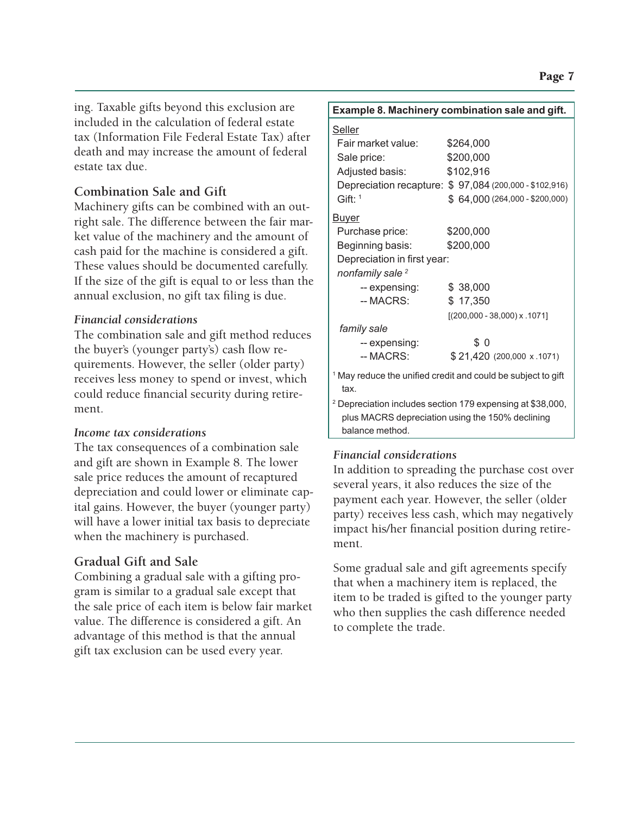ing. Taxable gifts beyond this exclusion are included in the calculation of federal estate tax (Information File Federal Estate Tax) after death and may increase the amount of federal estate tax due.

# **Combination Sale and Gift**

Machinery gifts can be combined with an outright sale. The difference between the fair market value of the machinery and the amount of cash paid for the machine is considered a gift. These values should be documented carefully. If the size of the gift is equal to or less than the annual exclusion, no gift tax filing is due.

# *Financial considerations*

The combination sale and gift method reduces the buyer's (younger party's) cash flow requirements. However, the seller (older party) receives less money to spend or invest, which could reduce financial security during retirement.

# *Income tax considerations*

The tax consequences of a combination sale and gift are shown in Example 8. The lower sale price reduces the amount of recaptured depreciation and could lower or eliminate capital gains. However, the buyer (younger party) will have a lower initial tax basis to depreciate when the machinery is purchased.

# **Gradual Gift and Sale**

Combining a gradual sale with a gifting program is similar to a gradual sale except that the sale price of each item is below fair market value. The difference is considered a gift. An advantage of this method is that the annual gift tax exclusion can be used every year.

| Example 8. Machinery combination sale and gift. |                                                                         |  |  |  |
|-------------------------------------------------|-------------------------------------------------------------------------|--|--|--|
| <u>Seller</u>                                   |                                                                         |  |  |  |
| Fair market value:                              | \$264,000                                                               |  |  |  |
| Sale price:                                     | \$200,000                                                               |  |  |  |
| Adjusted basis:                                 | \$102,916                                                               |  |  |  |
|                                                 | Depreciation recapture: \$97,084 (200,000 - \$102,916)                  |  |  |  |
| $G$ ift: <sup>1</sup>                           | $$64,000(264,000 - $200,000)$                                           |  |  |  |
| <u>Buyer</u>                                    |                                                                         |  |  |  |
| Purchase price:                                 | \$200,000                                                               |  |  |  |
| Beginning basis:                                | \$200,000                                                               |  |  |  |
| Depreciation in first year:                     |                                                                         |  |  |  |
| nonfamily sale <sup>2</sup>                     |                                                                         |  |  |  |
| -- expensing:                                   | \$38,000                                                                |  |  |  |
| -- MACRS:                                       | \$17,350                                                                |  |  |  |
|                                                 | $[(200,000 - 38,000) \times .1071]$                                     |  |  |  |
| family sale                                     |                                                                         |  |  |  |
| -- expensing:                                   | \$0                                                                     |  |  |  |
| -- MACRS:                                       | \$21,420 (200,000 x .1071)                                              |  |  |  |
| tax.                                            | <sup>1</sup> May reduce the unified credit and could be subject to gift |  |  |  |
|                                                 | <sup>2</sup> Depreciation includes section 179 expensing at \$38,000,   |  |  |  |
|                                                 | plus MACRS depreciation using the 150% declining                        |  |  |  |
| balance method.                                 |                                                                         |  |  |  |

# *Financial considerations*

In addition to spreading the purchase cost over several years, it also reduces the size of the payment each year. However, the seller (older party) receives less cash, which may negatively impact his/her financial position during retirement.

Some gradual sale and gift agreements specify that when a machinery item is replaced, the item to be traded is gifted to the younger party who then supplies the cash difference needed to complete the trade.